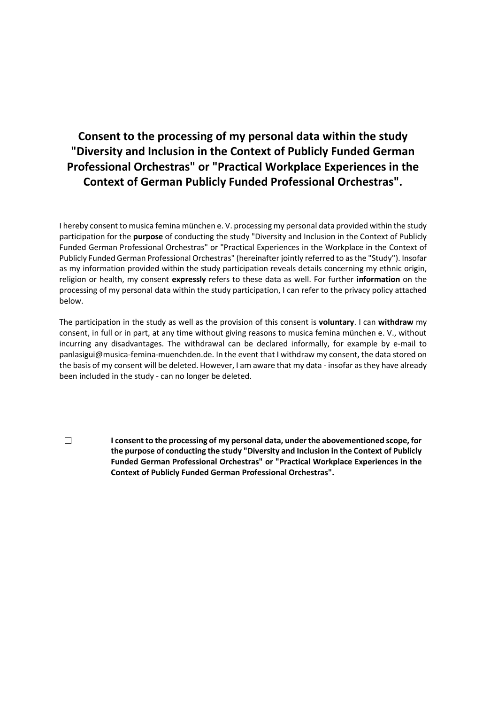# **Consent to the processing of my personal data within the study "Diversity and Inclusion in the Context of Publicly Funded German Professional Orchestras" or "Practical Workplace Experiences in the Context of German Publicly Funded Professional Orchestras".**

I hereby consent to musica femina münchen e. V. processing my personal data provided within the study participation for the **purpose** of conducting the study "Diversity and Inclusion in the Context of Publicly Funded German Professional Orchestras" or "Practical Experiences in the Workplace in the Context of Publicly Funded German Professional Orchestras" (hereinafter jointly referred to as the "Study"). Insofar as my information provided within the study participation reveals details concerning my ethnic origin, religion or health, my consent **expressly** refers to these data as well. For further **information** on the processing of my personal data within the study participation, I can refer to the privacy policy attached below.

The participation in the study as well as the provision of this consent is **voluntary**. I can **withdraw** my consent, in full or in part, at any time without giving reasons to musica femina münchen e. V., without incurring any disadvantages. The withdrawal can be declared informally, for example by e-mail to panlasigui@musica-femina-muenchden.de. In the event that I withdraw my consent, the data stored on the basis of my consent will be deleted. However, I am aware that my data - insofar as they have already been included in the study - can no longer be deleted.

☐ **I consent to the processing of my personal data, under the abovementioned scope, for the purpose of conducting the study "Diversity and Inclusion in the Context of Publicly Funded German Professional Orchestras" or "Practical Workplace Experiences in the Context of Publicly Funded German Professional Orchestras".**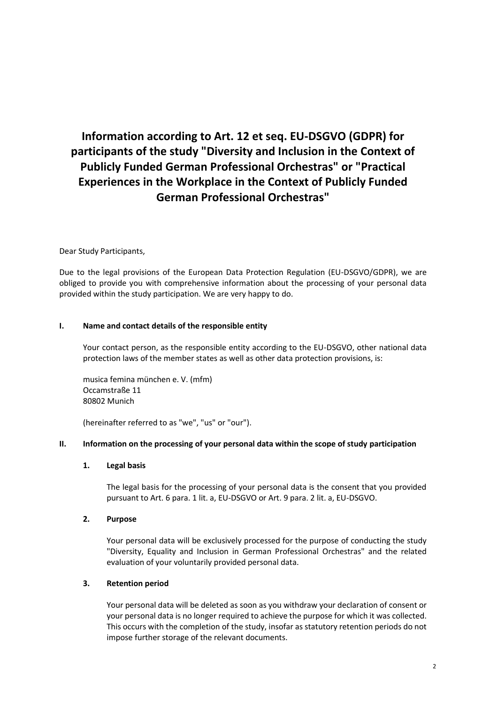# **Information according to Art. 12 et seq. EU-DSGVO (GDPR) for participants of the study "Diversity and Inclusion in the Context of Publicly Funded German Professional Orchestras" or "Practical Experiences in the Workplace in the Context of Publicly Funded German Professional Orchestras"**

## Dear Study Participants,

Due to the legal provisions of the European Data Protection Regulation (EU-DSGVO/GDPR), we are obliged to provide you with comprehensive information about the processing of your personal data provided within the study participation. We are very happy to do.

#### **I. Name and contact details of the responsible entity**

Your contact person, as the responsible entity according to the EU-DSGVO, other national data protection laws of the member states as well as other data protection provisions, is:

musica femina münchen e. V. (mfm) Occamstraße 11 80802 Munich

(hereinafter referred to as "we", "us" or "our").

#### **II. Information on the processing of your personal data within the scope of study participation**

#### **1. Legal basis**

The legal basis for the processing of your personal data is the consent that you provided pursuant to Art. 6 para. 1 lit. a, EU-DSGVO or Art. 9 para. 2 lit. a, EU-DSGVO.

#### **2. Purpose**

Your personal data will be exclusively processed for the purpose of conducting the study "Diversity, Equality and Inclusion in German Professional Orchestras" and the related evaluation of your voluntarily provided personal data.

#### **3. Retention period**

Your personal data will be deleted as soon as you withdraw your declaration of consent or your personal data is no longer required to achieve the purpose for which it was collected. This occurs with the completion of the study, insofar as statutory retention periods do not impose further storage of the relevant documents.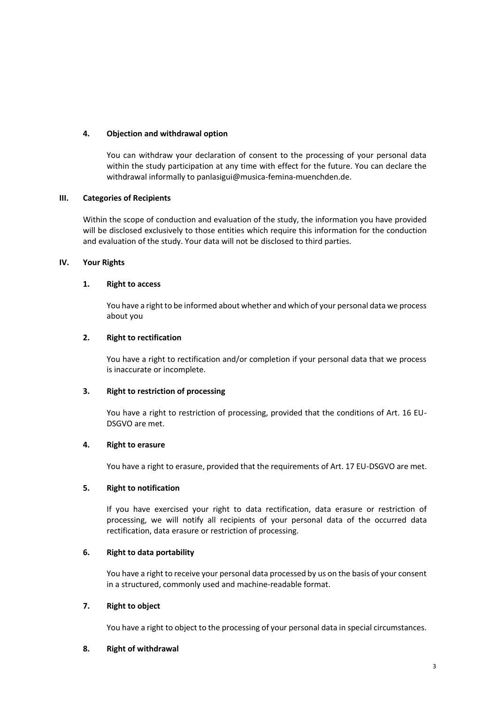## **4. Objection and withdrawal option**

You can withdraw your declaration of consent to the processing of your personal data within the study participation at any time with effect for the future. You can declare the withdrawal informally to panlasigui@musica-femina-muenchden.de.

## **III. Categories of Recipients**

Within the scope of conduction and evaluation of the study, the information you have provided will be disclosed exclusively to those entities which require this information for the conduction and evaluation of the study. Your data will not be disclosed to third parties.

## **IV. Your Rights**

## **1. Right to access**

You have a right to be informed about whether and which of your personal data we process about you

## **2. Right to rectification**

You have a right to rectification and/or completion if your personal data that we process is inaccurate or incomplete.

# **3. Right to restriction of processing**

You have a right to restriction of processing, provided that the conditions of Art. 16 EU-DSGVO are met.

# **4. Right to erasure**

You have a right to erasure, provided that the requirements of Art. 17 EU-DSGVO are met.

## **5. Right to notification**

If you have exercised your right to data rectification, data erasure or restriction of processing, we will notify all recipients of your personal data of the occurred data rectification, data erasure or restriction of processing.

#### **6. Right to data portability**

You have a right to receive your personal data processed by us on the basis of your consent in a structured, commonly used and machine-readable format.

## **7. Right to object**

You have a right to object to the processing of your personal data in special circumstances.

#### **8. Right of withdrawal**